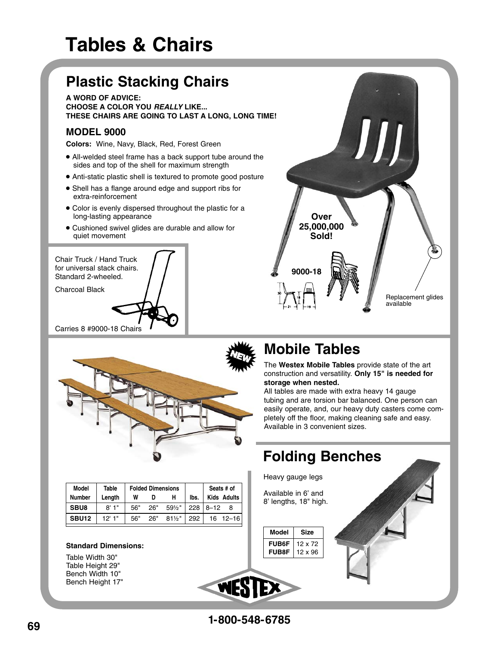# **Tables & Chairs**

### **Plastic Stacking Chairs**

**A WORD OF ADVICE: CHOOSE A COLOR YOU REALLY LIKE... THESE CHAIRS ARE GOING TO LAST A LONG, LONG TIME!**

### **MODEL 9000**

**Colors:** Wine, Navy, Black, Red, Forest Green

- All-welded steel frame has a back support tube around the sides and top of the shell for maximum strength
- Anti-static plastic shell is textured to promote good posture
- Shell has a flange around edge and support ribs for extra-reinforcement
- Color is evenly dispersed throughout the plastic for a long-lasting appearance
- Cushioned swivel glides are durable and allow for quiet movement





### **Mobile Tables**

**9000-18**

**Over 25,000,000 Sold!**

The **Westex Mobile Tables** provide state of the art construction and versatility. **Only 15" is needed for storage when nested.**

Replacement glides

available

All tables are made with extra heavy 14 gauge tubing and are torsion bar balanced. One person can easily operate, and, our heavy duty casters come completely off the floor, making cleaning safe and easy. Available in 3 convenient sizes.



| Model         | <b>Table</b> | <b>Folded Dimensions</b> |     |          |      | Seats # of |                    |
|---------------|--------------|--------------------------|-----|----------|------|------------|--------------------|
| <b>Number</b> | Lenath       | W                        | D   | н        | lbs. |            | <b>Kids Adults</b> |
| SBU8          | $R'$ 1"      | 56"                      | 26" | $59\%$ " | 228  | $18 - 12$  |                    |
| <b>SBU12</b>  | 12'1"        | 56"                      | 26" | $81\%$ " | 292  |            | $16 \quad 12 - 16$ |
|               |              |                          |     |          |      |            |                    |

#### **Standard Dimensions:**

Table Width 30" Table Height 29" Bench Width 10" Bench Height 17"

WE